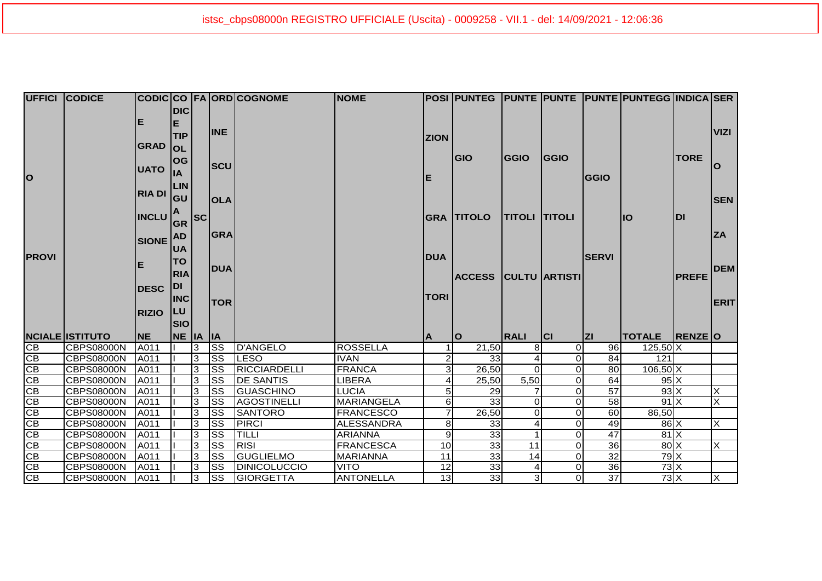|                        | <b>UFFICI CODICE</b>                   |              |            |              |                    | CODIC CO FA ORD COGNOME         | <b>NOME</b>                           |                            |                             |                      |           |                       | POSI PUNTEG PUNTE PUNTE PUNTE PUNTEGG INDICA SER |               |             |
|------------------------|----------------------------------------|--------------|------------|--------------|--------------------|---------------------------------|---------------------------------------|----------------------------|-----------------------------|----------------------|-----------|-----------------------|--------------------------------------------------|---------------|-------------|
|                        |                                        |              | <b>DIC</b> |              |                    |                                 |                                       |                            |                             |                      |           |                       |                                                  |               |             |
|                        |                                        | Е            | Е          |              |                    |                                 |                                       |                            |                             |                      |           |                       |                                                  |               |             |
|                        |                                        |              | <b>TIP</b> |              | <b>INE</b>         |                                 |                                       |                            |                             |                      |           |                       |                                                  |               | <b>VIZI</b> |
|                        |                                        | <b>GRAD</b>  | <b>OL</b>  |              |                    |                                 |                                       | <b>ZION</b>                |                             |                      |           |                       |                                                  |               |             |
|                        |                                        |              |            |              |                    |                                 |                                       |                            | <b>GIO</b>                  | GGIO                 | GGIO      |                       |                                                  | <b>TORE</b>   |             |
|                        |                                        | <b>UATO</b>  | OG         |              | <b>SCU</b>         |                                 |                                       |                            |                             |                      |           |                       |                                                  |               | O           |
| <b>O</b>               |                                        |              | lıA        |              |                    |                                 |                                       | E                          |                             |                      |           | <b>GGIO</b>           |                                                  |               |             |
|                        |                                        | RIA DI       | <b>LIN</b> |              |                    |                                 |                                       |                            |                             |                      |           |                       |                                                  |               |             |
|                        |                                        |              | lgu        |              | <b>OLA</b>         |                                 |                                       |                            |                             |                      |           |                       |                                                  |               | <b>SEN</b>  |
|                        |                                        |              |            |              |                    |                                 |                                       |                            |                             |                      |           |                       |                                                  |               |             |
|                        |                                        | <b>INCLU</b> | A<br> GR   | sc           |                    |                                 |                                       |                            | <b>GRA TITOLO</b>           | <b>TITOLI TITOLI</b> |           |                       | IO                                               | DI            |             |
|                        |                                        |              | <b>AD</b>  |              | <b>GRA</b>         |                                 |                                       |                            |                             |                      |           |                       |                                                  |               | <b>ZA</b>   |
|                        |                                        | SIONE        |            |              |                    |                                 |                                       |                            |                             |                      |           |                       |                                                  |               |             |
| <b>PROVI</b>           |                                        |              | <b>UA</b>  |              |                    |                                 |                                       | <b>DUA</b>                 |                             |                      |           | <b>SERVI</b>          |                                                  |               |             |
|                        |                                        | Е            | <b>TO</b>  |              | <b>DUA</b>         |                                 |                                       |                            |                             |                      |           |                       |                                                  |               | <b>DEM</b>  |
|                        |                                        |              | <b>RIA</b> |              |                    |                                 |                                       |                            | <b>ACCESS CULTU ARTISTI</b> |                      |           |                       |                                                  | <b>PREFE</b>  |             |
|                        |                                        | <b>DESC</b>  | <b>DI</b>  |              |                    |                                 |                                       |                            |                             |                      |           |                       |                                                  |               |             |
|                        |                                        |              | <b>INC</b> |              | <b>TOR</b>         |                                 |                                       | <b>TORI</b>                |                             |                      |           |                       |                                                  |               | <b>ERIT</b> |
|                        |                                        | <b>RIZIO</b> | <b>LU</b>  |              |                    |                                 |                                       |                            |                             |                      |           |                       |                                                  |               |             |
|                        |                                        |              | Isıo       |              |                    |                                 |                                       |                            |                             |                      |           |                       |                                                  |               |             |
|                        | <b>NCIALE ISTITUTO</b>                 | <b>NE</b>    |            |              |                    |                                 |                                       |                            |                             |                      |           |                       |                                                  |               |             |
| $\overline{CB}$        |                                        |              |            |              |                    |                                 |                                       |                            |                             |                      |           |                       |                                                  |               |             |
| CB                     |                                        |              | NE IA IA   |              |                    |                                 |                                       | ΙA                         | lo                          | <b>RALI</b>          | <b>CI</b> | Z                     | <b>TOTALE</b>                                    | <b>RENZEO</b> |             |
|                        | <b>CBPS08000N</b>                      | A011         |            | 3            | <b>SS</b>          | D'ANGELO                        | ROSSELLA                              |                            | 21,50                       | 8                    | οI        | 96                    | $125,50$ X                                       |               |             |
|                        | CBPS08000N                             | A011         |            | 3            | <b>I</b> ss        | <b>LESO</b>                     | <b>IVAN</b>                           | 2                          | 33                          | $\Omega$             | οI        | 84                    | 121                                              |               |             |
| CB                     | <b>CBPS08000N</b>                      | A011         |            | $\mathbf{3}$ | <b>I</b> ss        | RICCIARDELLI                    | <b>FRANCA</b>                         | $\overline{3}$<br>4        | 26,50                       |                      | οI<br>οI  | 80                    | $106,50$ X                                       |               |             |
| $\overline{\text{CB}}$ | <b>CBPS08000N</b>                      | A011         |            | 3            | <b>SS</b>          | <b>DE SANTIS</b>                | <b>LIBERA</b>                         | 5 <sub>l</sub>             | 25,50                       | 5,50                 | οI        | 64                    | 95X                                              |               |             |
| CB                     | <b>CBPS08000N</b>                      | A011         |            | 3            | <b>SS</b>          | <b>GUASCHINO</b><br>AGOSTINELLI | <b>LUCIA</b>                          |                            | 29                          | $\Omega$             | οI        | $\overline{57}$       | $93 \times$<br>$91 \times$                       |               | X<br>×      |
| CB                     | <b>CBPS08000N</b><br><b>CBPS08000N</b> | A011<br>A011 |            | 3<br>3       | lss<br>lss         | <b>SANTORO</b>                  | <b>MARIANGELA</b><br><b>FRANCESCO</b> | $6 \mid$<br>$\overline{7}$ | 33<br>26,50                 | 0                    | Οl        | 58<br>$\overline{60}$ | 86,50                                            |               |             |
| CB                     | <b>CBPS08000N</b>                      | A011         |            | 3            | lss                | <b>PIRCI</b>                    | <b>ALESSANDRA</b>                     | 8                          | 33                          |                      | Οl        | 49                    | $86$ $X$                                         |               | lx          |
| CB                     | <b>CBPS08000N</b>                      | A011         |            | 3            | lss                | <b>TILLI</b>                    | <b>ARIANNA</b>                        | $\vert 9 \vert$            | 33                          |                      | οI        | 47                    | $81 \times$                                      |               |             |
| CB                     | <b>CBPS08000N</b>                      | A011         |            | 3            | lss                | <b>RISI</b>                     | <b>FRANCESCA</b>                      | 10                         | 33                          | 11                   | οI        | 36                    | $80 \times$                                      |               | X           |
| CB<br>CB               | <b>CBPS08000N</b>                      | A011         |            | 3            | <b>SS</b>          | <b>GUGLIELMO</b>                | MARIANNA                              | 11                         | 33                          | 14                   | οI        | $\overline{32}$       | $79$ $X$                                         |               |             |
| CB<br>$\overline{CB}$  | <b>CBPS08000N</b>                      | A011         |            | 3            | lss<br><b>I</b> ss | <b>DINICOLUCCIO</b>             | <b>VITO</b>                           | 12                         | 33                          |                      | οI        | 36                    | $73$ $X$<br>73X                                  |               | Ιx          |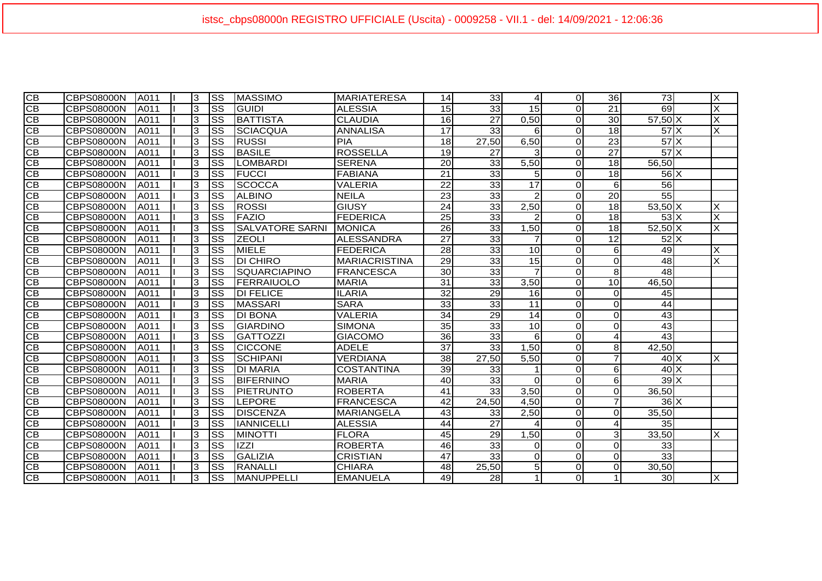| $\overline{CB}$ | CBPS08000N        | A011         | 3 | lss       | <b>MASSIMO</b>         | <b>MARIATERESA</b>   | 14              | 33              | 4               | $\Omega$       | 36              | $\overline{73}$ | $\times$                |
|-----------------|-------------------|--------------|---|-----------|------------------------|----------------------|-----------------|-----------------|-----------------|----------------|-----------------|-----------------|-------------------------|
| CB              | CBPS08000N        | <b>IA011</b> | 3 | lss       | <b>GUIDI</b>           | <b>ALESSIA</b>       | 15              | 33              | 15              | $\Omega$       | 21              | 69              | X                       |
| CВ              | <b>CBPS08000N</b> | <b>A011</b>  | 3 | lss       | <b>BATTISTA</b>        | <b>CLAUDIA</b>       | 16              | 27              | 0,50            | $\Omega$       | 30              | 57,50 X         | X                       |
| CB              | CBPS08000N        | A011         | 3 | SS        | <b>SCIACQUA</b>        | ANNALISA             | $\overline{17}$ | $\overline{33}$ | 6               | $\overline{O}$ | $\overline{18}$ | 57X             | $\overline{\mathsf{x}}$ |
| CB              | <b>CBPS08000N</b> | A011         | 3 | lss       | <b>RUSSI</b>           | <b>PIA</b>           | 18              | 27,50           | 6,50            | $\overline{O}$ | 23              | 57X             |                         |
| CB              | CBPS08000N        | <b>JA011</b> | 3 | Iss       | <b>IBASILE</b>         | <b>ROSSELLA</b>      | 19              | 27              | 3               | $\Omega$       | 27              | 57X             |                         |
| CB              | <b>CBPS08000N</b> | <b>A011</b>  | 3 | lss       | LOMBARDI               | <b>SERENA</b>        | 20              | 33              | 5,50            | $\Omega$       | 18              | 56,50           |                         |
| $\overline{CB}$ | CBPS08000N        | A011         | 3 | lss       | <b>FUCCI</b>           | <b>FABIANA</b>       | 21              | 33              | 5 <sup>1</sup>  | $\overline{O}$ | 18              | $56 \times$     |                         |
| CB              | <b>CBPS08000N</b> | <b>A011</b>  | 3 | <b>SS</b> | <b>SCOCCA</b>          | <b>VALERIA</b>       | 22              | 33              | 17              | $\Omega$       | 6               | 56              |                         |
| CB              | CBPS08000N        | <b>A011</b>  | 3 | Iss       | <b>ALBINO</b>          | <b>NEILA</b>         | 23              | 33              | $\mathcal{P}$   | $\Omega$       | $\overline{20}$ | $\overline{55}$ |                         |
| <b>CB</b>       | <b>CBPS08000N</b> | A011         | 3 | <b>SS</b> | <b>ROSSI</b>           | <b>GIUSY</b>         | 24              | 33              | 2,50            | <sub>O</sub>   | 18              | 53,50 X         |                         |
| CB              | <b>CBPS08000N</b> | A011         | 3 | lss       | <b>FAZIO</b>           | <b>FEDERICA</b>      | 25              | 33              |                 | $\overline{O}$ | 18              | $53\text{X}$    | $\overline{\mathsf{x}}$ |
| CB              | <b>CBPS08000N</b> | A011         | 3 | <b>SS</b> | <b>SALVATORE SARNI</b> | IMONICA              | 26              | 33              | 1,50            | $\Omega$       | 18              | $52,50$ X       | $\overline{\mathsf{x}}$ |
| CB              | <b>CBPS08000N</b> | A011         | 3 | <b>SS</b> | <b>ZEOLI</b>           | <b>ALESSANDRA</b>    | $\overline{27}$ | 33              |                 | $\Omega$       | 12              | $52$ $X$        |                         |
| CB              | <b>CBPS08000N</b> | A011         | 3 | <b>SS</b> | <b>MIELE</b>           | <b>FEDERICA</b>      | 28              | 33              | 10 <sup>1</sup> | $\Omega$       | 6               | 49              | X                       |
| CB              | CBPS08000N        | A011         | 3 | <b>SS</b> | <b>DI CHIRO</b>        | <b>MARIACRISTINA</b> | $\overline{29}$ | 33              | 15              | $\overline{O}$ | $\Omega$        | 48              | X                       |
| CB              | <b>CBPS08000N</b> | A011         | 3 | lss       | ISQUARCIAPINO          | <b>FRANCESCA</b>     | 30 <sup>1</sup> | 33              |                 | $\Omega$       | 8 <sup>1</sup>  | 48              |                         |
| CB              | <b>CBPS08000N</b> | <b>A011</b>  | 3 | <b>SS</b> | FERRAIUOLO             | <b>MARIA</b>         | 31              | 33              | 3,50            | $\Omega$       | 10              | 46,50           |                         |
| CB              | <b>CBPS08000N</b> | A011         | 3 | <b>SS</b> | <b>DI FELICE</b>       | <b>ILARIA</b>        | $\overline{32}$ | 29              | 16              | $\overline{O}$ | 0               | 45              |                         |
| <b>CB</b>       | CBPS08000N        | <b>JA011</b> | 3 | Iss       | <b>MASSARI</b>         | <b>SARA</b>          | 33              | 33              | 11              | $\Omega$       | 0               | 44              |                         |
| CB              | <b>CBPS08000N</b> | <b>JA011</b> | 3 | lss       | <b>DI BONA</b>         | <b>VALERIA</b>       | $\overline{34}$ | 29              | 14              | $\overline{O}$ | 0               | $\overline{43}$ |                         |
| CB              | <b>CBPS08000N</b> | A011         | 3 | <b>SS</b> | <b>GIARDINO</b>        | <b>SIMONA</b>        | 35              | 33              | 10              | $\Omega$       | 0               | 43              |                         |
| <b>CB</b>       | <b>CBPS08000N</b> | A011         | 3 | lss       | <b>GATTOZZI</b>        | <b>GIACOMO</b>       | 36              | 33              | 6               | $\overline{O}$ | $\vert 4 \vert$ | 43              |                         |
| CB              | CBPS08000N        | A011         | 3 | lss       | <b>CICCONE</b>         | <b>ADELE</b>         | $\overline{37}$ | 33              | 1,50            | $\overline{0}$ | 8               | 42,50           |                         |
| CB              | <b>CBPS08000N</b> | A011         | 3 | lss       | SCHIPANI               | <b>VERDIANA</b>      | 38              | 27,50           | 5,50            | $\overline{O}$ | 7               | 40X             | X                       |
| CB              | <b>CBPS08000N</b> | A011         | 3 | Iss       | <b>DI MARIA</b>        | <b>COSTANTINA</b>    | 39              | 33              |                 | $\Omega$       | 6               | $40\text{X}$    |                         |
| CB              | CBPS08000N        | A011         | 3 | lss       | <b>BIFERNINO</b>       | <b>MARIA</b>         | $\overline{40}$ | 33              | $\Omega$        | $\overline{O}$ | 6               | $39$ X          |                         |
| <b>CB</b>       | CBPS08000N        | <b>A011</b>  | 3 | lss       | PIETRUNTO              | <b>ROBERTA</b>       | 41              | 33              | 3,50            | $\overline{O}$ | $\Omega$        | 36.50           |                         |
| CB              | <b>CBPS08000N</b> | A011         | 3 | <b>SS</b> | LEPORE                 | <b>FRANCESCA</b>     | 42              | 24,50           | 4,50            | $\Omega$       | $\overline{7}$  | $36$ $X$        |                         |
| CB              | <b>CBPS08000N</b> | A011         | 3 | lSS       | <b>DISCENZA</b>        | <b>MARIANGELA</b>    | 43              | 33              | 2,50            | $\Omega$       | $\overline{0}$  | 35,50           |                         |
| CB              | <b>CBPS08000N</b> | <b>JA011</b> | 3 | <b>SS</b> | <b>IANNICELLI</b>      | <b>ALESSIA</b>       | 44              | $\overline{27}$ |                 | $\Omega$       | 4               | 35              |                         |
| CB              | <b>CBPS08000N</b> | A011         | 3 | <b>SS</b> | <b>MINOTTI</b>         | <b>FLORA</b>         | 45              | 29              | 1,50            | $\overline{O}$ | 3               | 33,50           | X                       |
| CB              | <b>CBPS08000N</b> | A011         | 3 | lss       | <b>IZZI</b>            | <b>ROBERTA</b>       | 46              | 33              | <sup>O</sup>    | $\overline{O}$ | 0               | 33              |                         |
| CВ              | <b>CBPS08000N</b> | A011         | 3 | lss       | <b>GALIZIA</b>         | <b>CRISTIAN</b>      | 47              | 33              | $\Omega$        | $\Omega$       | 0               | 33              |                         |
| CB              | <b>CBPS08000N</b> | A011         | 3 | SS        | <b>RANALLI</b>         | <b>CHIARA</b>        | 48              | 25,50           | 5 <sub>l</sub>  | $\overline{O}$ | 0               | 30,50           |                         |
| <b>CB</b>       | <b>CBPS08000N</b> | A011         | 3 | <b>SS</b> | MANUPPELLI             | <b>EMANUELA</b>      | 49              | 28              | $\mathbf 1$     | $\overline{O}$ | 1               | 30              | X                       |